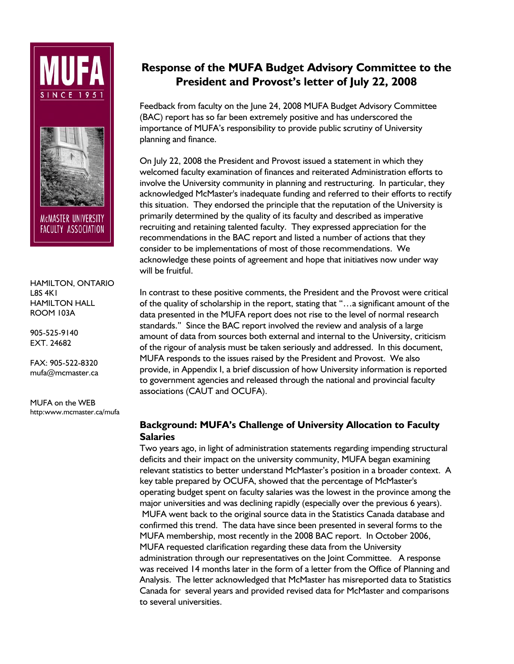



MCMASTER UNIVERSITY FACULTY ASSOCIATION

HAMILTON, ONTARIO L8S 4K1 HAMILTON HALL ROOM 103A

905-525-9140 EXT. 24682

FAX: 905-522-8320 mufa@mcmaster.ca

MUFA on the WEB http:www.mcmaster.ca/mufa

# **Response of the MUFA Budget Advisory Committee to the President and Provost's letter of July 22, 2008**

Feedback from faculty on the June 24, 2008 MUFA Budget Advisory Committee (BAC) report has so far been extremely positive and has underscored the importance of MUFA's responsibility to provide public scrutiny of University planning and finance.

On July 22, 2008 the President and Provost issued a statement in which they welcomed faculty examination of finances and reiterated Administration efforts to involve the University community in planning and restructuring. In particular, they acknowledged McMaster's inadequate funding and referred to their efforts to rectify this situation. They endorsed the principle that the reputation of the University is primarily determined by the quality of its faculty and described as imperative recruiting and retaining talented faculty. They expressed appreciation for the recommendations in the BAC report and listed a number of actions that they consider to be implementations of most of those recommendations. We acknowledge these points of agreement and hope that initiatives now under way will be fruitful.

In contrast to these positive comments, the President and the Provost were critical of the quality of scholarship in the report, stating that "…a significant amount of the data presented in the MUFA report does not rise to the level of normal research standards." Since the BAC report involved the review and analysis of a large amount of data from sources both external and internal to the University, criticism of the rigour of analysis must be taken seriously and addressed. In this document, MUFA responds to the issues raised by the President and Provost. We also provide, in Appendix I, a brief discussion of how University information is reported to government agencies and released through the national and provincial faculty associations (CAUT and OCUFA).

# **Background: MUFA's Challenge of University Allocation to Faculty Salaries**

Two years ago, in light of administration statements regarding impending structural deficits and their impact on the university community, MUFA began examining relevant statistics to better understand McMaster's position in a broader context. A key table prepared by OCUFA, showed that the percentage of McMaster's operating budget spent on faculty salaries was the lowest in the province among the major universities and was declining rapidly (especially over the previous 6 years). MUFA went back to the original source data in the Statistics Canada database and confirmed this trend. The data have since been presented in several forms to the MUFA membership, most recently in the 2008 BAC report. In October 2006, MUFA requested clarification regarding these data from the University administration through our representatives on the Joint Committee. A response was received 14 months later in the form of a letter from the Office of Planning and Analysis. The letter acknowledged that McMaster has misreported data to Statistics Canada for several years and provided revised data for McMaster and comparisons to several universities.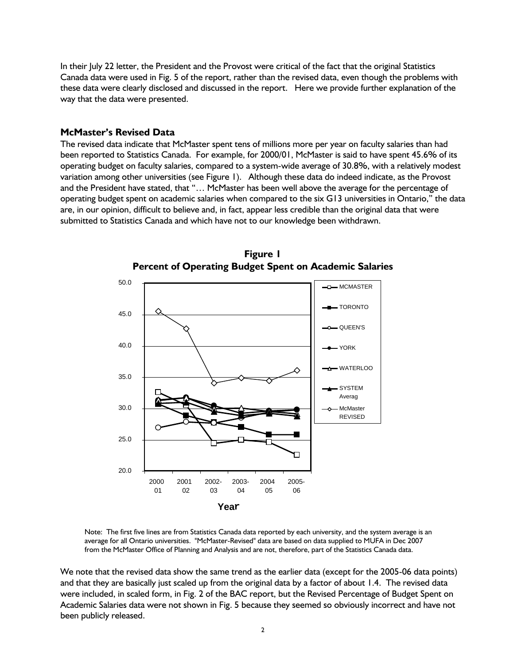In their July 22 letter, the President and the Provost were critical of the fact that the original Statistics Canada data were used in Fig. 5 of the report, rather than the revised data, even though the problems with these data were clearly disclosed and discussed in the report. Here we provide further explanation of the way that the data were presented.

#### **McMaster's Revised Data**

The revised data indicate that McMaster spent tens of millions more per year on faculty salaries than had been reported to Statistics Canada. For example, for 2000/01, McMaster is said to have spent 45.6% of its operating budget on faculty salaries, compared to a system-wide average of 30.8%, with a relatively modest variation among other universities (see Figure 1). Although these data do indeed indicate, as the Provost and the President have stated, that "… McMaster has been well above the average for the percentage of operating budget spent on academic salaries when compared to the six G13 universities in Ontario," the data are, in our opinion, difficult to believe and, in fact, appear less credible than the original data that were submitted to Statistics Canada and which have not to our knowledge been withdrawn.



**Figure 1 Percent of Operating Budget Spent on Academic Salaries** 

Note: The first five lines are from Statistics Canada data reported by each university, and the system average is an average for all Ontario universities. "McMaster-Revised" data are based on data supplied to MUFA in Dec 2007 from the McMaster Office of Planning and Analysis and are not, therefore, part of the Statistics Canada data.

We note that the revised data show the same trend as the earlier data (except for the 2005-06 data points) and that they are basically just scaled up from the original data by a factor of about 1.4. The revised data were included, in scaled form, in Fig. 2 of the BAC report, but the Revised Percentage of Budget Spent on Academic Salaries data were not shown in Fig. 5 because they seemed so obviously incorrect and have not been publicly released.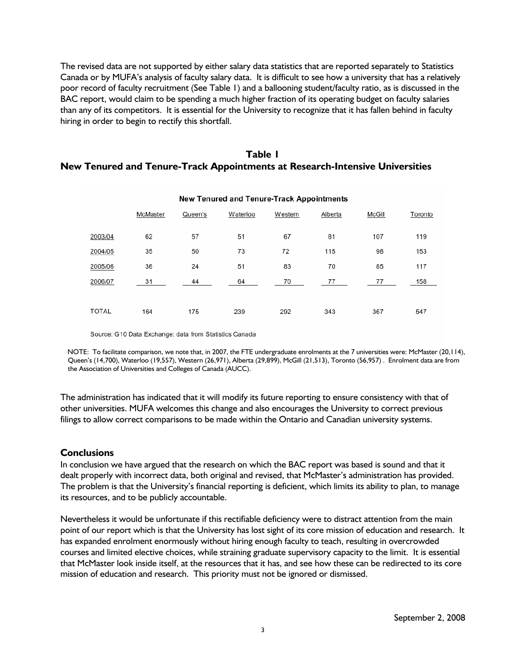The revised data are not supported by either salary data statistics that are reported separately to Statistics Canada or by MUFA's analysis of faculty salary data. It is difficult to see how a university that has a relatively poor record of faculty recruitment (See Table 1) and a ballooning student/faculty ratio, as is discussed in the BAC report, would claim to be spending a much higher fraction of its operating budget on faculty salaries than any of its competitors. It is essential for the University to recognize that it has fallen behind in faculty hiring in order to begin to rectify this shortfall.

## **Table 1 New Tenured and Tenure-Track Appointments at Research-Intensive Universities**

| New Tenured and Tenure-Track Appointments |          |         |          |         |         |        |         |
|-------------------------------------------|----------|---------|----------|---------|---------|--------|---------|
|                                           | McMaster | Queen's | Waterloo | Western | Alberta | McGill | Toronto |
| 2003/04                                   | 62       | 57      | 51       | 67      | 81      | 107    | 119     |
| 2004/05                                   | 35       | 50      | 73       | 72      | 115     | 98     | 153     |
| 2005/06                                   | 36       | 24      | 51       | 83      | 70      | 85     | 117     |
| 2006/07                                   | 31       | 44      | 64       | 70      | 77      | 77     | 158     |
| <b>TOTAL</b>                              | 164      | 175     | 239      | 292     | 343     | 367    | 547     |

Source: G10 Data Exchange: data from Statistics Canada

 NOTE: To facilitate comparison, we note that, in 2007, the FTE undergraduate enrolments at the 7 universities were: McMaster (20,114), Queen's (14,700), Waterloo (19,557), Western (26,971), Alberta (29,899), McGill (21,513), Toronto (56,957) . Enrolment data are from the Association of Universities and Colleges of Canada (AUCC).

The administration has indicated that it will modify its future reporting to ensure consistency with that of other universities. MUFA welcomes this change and also encourages the University to correct previous filings to allow correct comparisons to be made within the Ontario and Canadian university systems.

#### **Conclusions**

In conclusion we have argued that the research on which the BAC report was based is sound and that it dealt properly with incorrect data, both original and revised, that McMaster's administration has provided. The problem is that the University's financial reporting is deficient, which limits its ability to plan, to manage its resources, and to be publicly accountable.

Nevertheless it would be unfortunate if this rectifiable deficiency were to distract attention from the main point of our report which is that the University has lost sight of its core mission of education and research. It has expanded enrolment enormously without hiring enough faculty to teach, resulting in overcrowded courses and limited elective choices, while straining graduate supervisory capacity to the limit. It is essential that McMaster look inside itself, at the resources that it has, and see how these can be redirected to its core mission of education and research. This priority must not be ignored or dismissed.